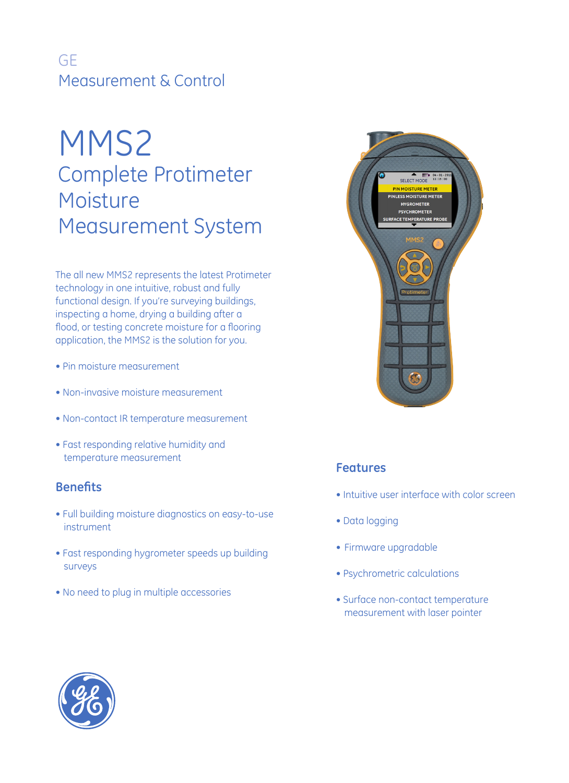## GE Measurement & Control

# MMS2 Complete Protimeter Moisture Measurement System

The all new MMS2 represents the latest Protimeter technology in one intuitive, robust and fully functional design. If you're surveying buildings, inspecting a home, drying a building after a flood, or testing concrete moisture for a flooring application, the MMS2 is the solution for you.

- Pin moisture measurement
- Non-invasive moisture measurement
- Non-contact IR temperature measurement
- Fast responding relative humidity and temperature measurement

### **Benefits**

- Full building moisture diagnostics on easy-to-use instrument
- Fast responding hygrometer speeds up building surveys
- No need to plug in multiple accessories



### **Features**

- Intuitive user interface with color screen
- Data logging
- Firmware upgradable
- Psychrometric calculations
- Surface non-contact temperature measurement with laser pointer

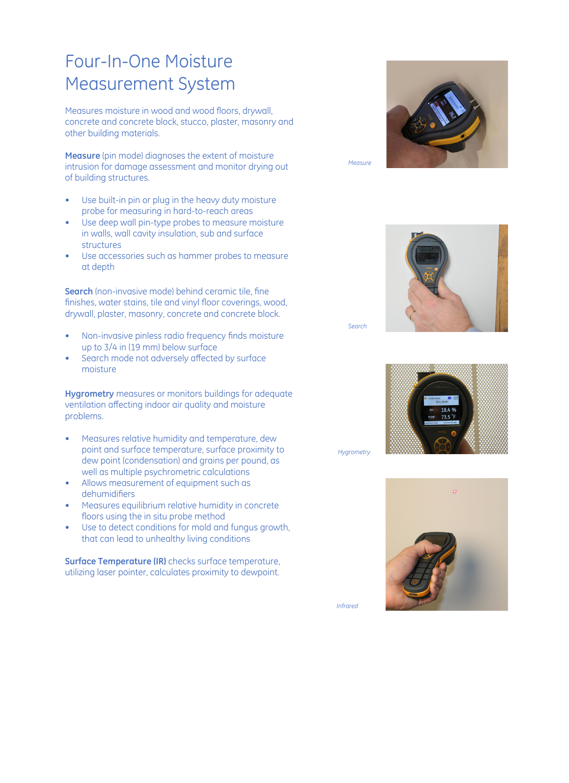## Four-In-One Moisture Measurement System

Measures moisture in wood and wood floors, drywall, concrete and concrete block, stucco, plaster, masonry and other building materials.

**Measure** (pin mode) diagnoses the extent of moisture intrusion for damage assessment and monitor drying out of building structures.

- Use built-in pin or plug in the heavy duty moisture probe for measuring in hard-to-reach areas
- Use deep wall pin-type probes to measure moisture in walls, wall cavity insulation, sub and surface structures
- Use accessories such as hammer probes to measure at depth

**Search** (non-invasive mode) behind ceramic tile, fine finishes, water stains, tile and vinyl floor coverings, wood, drywall, plaster, masonry, concrete and concrete block.

- Non-invasive pinless radio frequency finds moisture up to 3/4 in (19 mm) below surface
- Search mode not adversely affected by surface moisture

**Hygrometry** measures or monitors buildings for adequate ventilation affecting indoor air quality and moisture problems.

- Measures relative humidity and temperature, dew point and surface temperature, surface proximity to dew point (condensation) and grains per pound, as well as multiple psychrometric calculations
- Allows measurement of equipment such as dehumidifiers
- Measures equilibrium relative humidity in concrete floors using the in situ probe method
- Use to detect conditions for mold and fungus growth, that can lead to unhealthy living conditions

**Surface Temperature (IR)** checks surface temperature, utilizing laser pointer, calculates proximity to dewpoint.



*Measure*



*Search*



*Hygrometry*



*Infrared*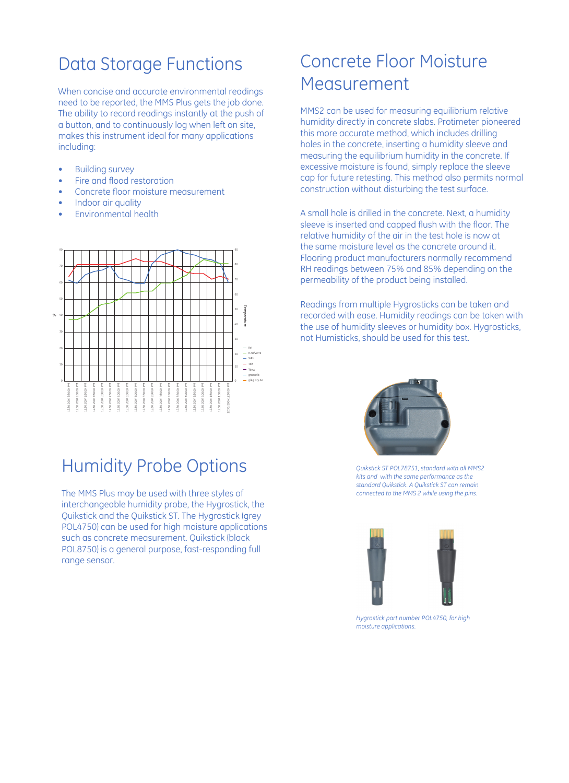## Data Storage Functions

When concise and accurate environmental readings need to be reported, the MMS Plus gets the job done. The ability to record readings instantly at the push of a button, and to continuously log when left on site, makes this instrument ideal for many applications including:

- Building survey
- Fire and flood restoration
- Concrete floor moisture measurement
- Indoor air quality
- Environmental health



## Humidity Probe Options

The MMS Plus may be used with three styles of interchangeable humidity probe, the Hygrostick, the Quikstick and the Quikstick ST. The Hygrostick (grey POL4750) can be used for high moisture applications such as concrete measurement. Quikstick (black POL8750) is a general purpose, fast-responding full range sensor.

## Concrete Floor Moisture Measurement

MMS2 can be used for measuring equilibrium relative humidity directly in concrete slabs. Protimeter pioneered this more accurate method, which includes drilling holes in the concrete, inserting a humidity sleeve and measuring the equilibrium humidity in the concrete. If excessive moisture is found, simply replace the sleeve cap for future retesting. This method also permits normal construction without disturbing the test surface.

A small hole is drilled in the concrete. Next, a humidity sleeve is inserted and capped flush with the floor. The relative humidity of the air in the test hole is now at the same moisture level as the concrete around it. Flooring product manufacturers normally recommend RH readings between 75% and 85% depending on the permeability of the product being installed.

Readings from multiple Hygrosticks can be taken and recorded with ease. Humidity readings can be taken with the use of humidity sleeves or humidity box. Hygrosticks, not Humisticks, should be used for this test.



*Quikstick ST POL78751, standard with all MMS2 kits and with the same performance as the standard Quikstick. A Quikstick ST can remain connected to the MMS 2 while using the pins.*



*Hygrostick part number POL4750, for high moisture applications.*